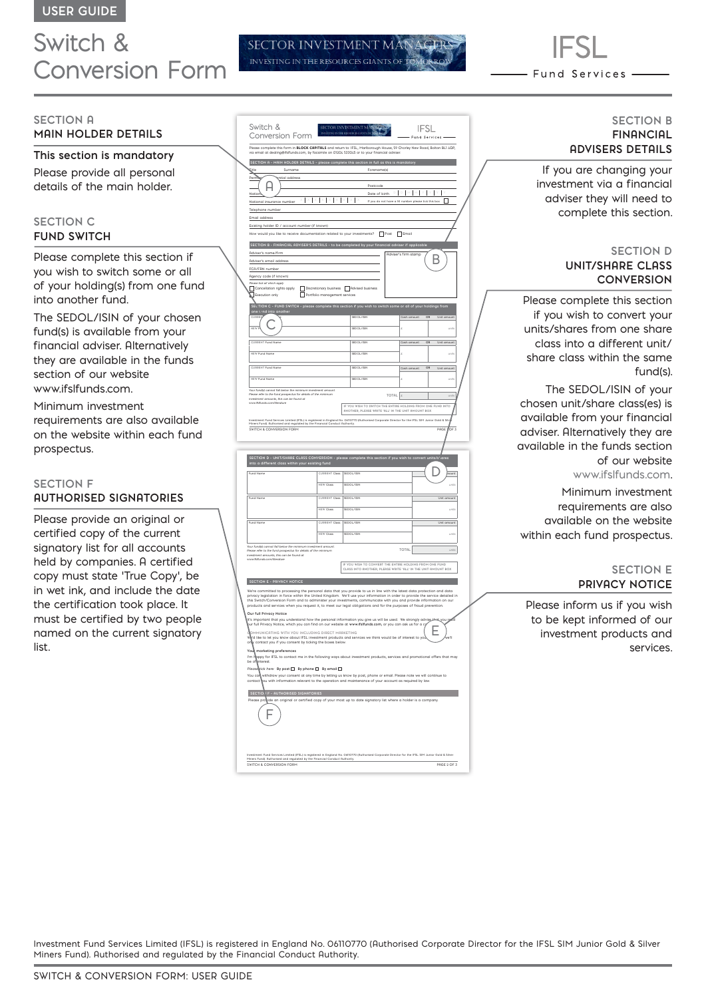# Switch & Conversion Form

### **SECTION A MAIN HOLDER DETAILS**

**This section is mandatory** Please provide all personal details of the main holder.

## **SECTION C FUND SWITCH**

Please complete this section if you wish to switch some or all of your holding(s) from one fund into another fund.

The SEDOL/ISIN of your chosen fund(s) is available from your financial adviser. Alternatively they are available in the funds section of our website www.ifslfunds.com.

Minimum investment requirements are also available on the website within each fund prospectus.

## **SECTION F AUTHORISED SIGNATORIES**

Please provide an original or certified copy of the current signatory list for all accounts held by companies. A certified copy must state 'True Copy', be in wet ink, and include the date the certification took place. It must be certified by two people named on the current signatory list.

|  | Switch &<br>Conversion Form                                                                                                                                                                                                                                                                                                                                                      |                               | <b>SECTOR INVESTMENT M/</b>             |                                                      | <b>IFSL</b><br>Fund Services                                  |  |  |
|--|----------------------------------------------------------------------------------------------------------------------------------------------------------------------------------------------------------------------------------------------------------------------------------------------------------------------------------------------------------------------------------|-------------------------------|-----------------------------------------|------------------------------------------------------|---------------------------------------------------------------|--|--|
|  | Please complete this form in <b>BLOCK CAPITALS</b> and return to: IFSL, Marlborough House, 59 Chorley New Road, Bolton BL1 4QP,<br>via email at dealing@ifsifunds.com, by facsimile on 01204 533045 or to your financial adviser                                                                                                                                                 |                               |                                         |                                                      |                                                               |  |  |
|  | SECTION A - MAIN HOLDER DETAILS - please complete this section in full as this is mandatory                                                                                                                                                                                                                                                                                      |                               |                                         |                                                      |                                                               |  |  |
|  | Forename(s)<br>Eitle<br>Surname<br>ntial address<br>Pen                                                                                                                                                                                                                                                                                                                          |                               |                                         |                                                      |                                                               |  |  |
|  | Postcode<br>$\mathbb{D}$<br>$\mathbb{D}$                                                                                                                                                                                                                                                                                                                                         |                               |                                         |                                                      |                                                               |  |  |
|  | Date of birth<br>Natio<br>  ×<br>$\mathsf{I}$<br>□<br>National insurance number<br>If you do not have a NI number please tick this bar                                                                                                                                                                                                                                           |                               |                                         |                                                      |                                                               |  |  |
|  | Telephone number                                                                                                                                                                                                                                                                                                                                                                 |                               |                                         |                                                      |                                                               |  |  |
|  | Email address<br>Existing holder ID / account number (if known)                                                                                                                                                                                                                                                                                                                  |                               |                                         |                                                      |                                                               |  |  |
|  | How would you like to receive documentation related to your investments? Post Figures                                                                                                                                                                                                                                                                                            |                               |                                         |                                                      |                                                               |  |  |
|  | SECTION B - FINANCIAL ADVISER'S DETAILS - to be completed by your financial adviser if applicable<br>Adviser's name/firm<br>Adviser's firm stamp<br>Adviser's email address                                                                                                                                                                                                      |                               |                                         |                                                      |                                                               |  |  |
|  | FCA/FRN number                                                                                                                                                                                                                                                                                                                                                                   |                               |                                         |                                                      |                                                               |  |  |
|  | Agency code (if known)<br>Please tick all which apply                                                                                                                                                                                                                                                                                                                            |                               |                                         |                                                      |                                                               |  |  |
|  | Cancellation rights apply<br>Execution only                                                                                                                                                                                                                                                                                                                                      | Portfolio management services | Discretionary business Advised business |                                                      |                                                               |  |  |
|  | ON C - FUND SWITCH - please complete this section if you wish to switch some or all of your holdings from<br><b>SECTI</b>                                                                                                                                                                                                                                                        |                               |                                         |                                                      |                                                               |  |  |
|  | one tund into anoth                                                                                                                                                                                                                                                                                                                                                              | SEDOL/ISIN                    | Cash amount                             | OR<br>Unit amount                                    |                                                               |  |  |
|  |                                                                                                                                                                                                                                                                                                                                                                                  |                               | SEDOL/ISIN                              | ź                                                    | units                                                         |  |  |
|  | <b>CURRENT Fund N</b>                                                                                                                                                                                                                                                                                                                                                            |                               | SEDOL/ISIN                              |                                                      | OR                                                            |  |  |
|  | NEW Fund Name                                                                                                                                                                                                                                                                                                                                                                    |                               | SEDOL/ISIN                              | Cash amount<br>ź                                     | Unit amount<br>unio                                           |  |  |
|  |                                                                                                                                                                                                                                                                                                                                                                                  |                               |                                         |                                                      |                                                               |  |  |
|  | CLIDDENT Fund News                                                                                                                                                                                                                                                                                                                                                               |                               | SEDOL/ISIN                              | Cash amount                                          | OR<br>Unit amount                                             |  |  |
|  | NFW Fund Name                                                                                                                                                                                                                                                                                                                                                                    |                               | SEDOL/ISIN                              | ï                                                    |                                                               |  |  |
|  | Your fund(s) cannot fall below the minimum investment amount.<br>.<br>Please refer to the fund prospectus for details of the minimum<br>investment armounts, this can be found at<br>TOTAL A                                                                                                                                                                                     |                               |                                         |                                                      |                                                               |  |  |
|  | www.ifsifunds.com/literature<br>IF YOU WISH TO SWITCH THE ENTIRE HOLDING FROM ONE FUND INTO<br>ANOTHER, PLEASE WRITE 'ALL' IN THE UNIT AMOUNT BOX                                                                                                                                                                                                                                |                               |                                         |                                                      |                                                               |  |  |
|  | investment Fund Services Limited (IFSL) is registered in England No. 05110770 (Authorised Corporate Director for the IFSL SIM Junior Gold & Silv<br>Miners Fund): Authorised and regulated by the Financial Conduct Authority.                                                                                                                                                   |                               |                                         |                                                      |                                                               |  |  |
|  | SWITCH & CONVERSION FORM                                                                                                                                                                                                                                                                                                                                                         |                               |                                         |                                                      | OF <sub>3</sub><br>PAGE                                       |  |  |
|  |                                                                                                                                                                                                                                                                                                                                                                                  |                               |                                         |                                                      |                                                               |  |  |
|  | SECTION D - UNIT/SHARE CLASS CONVERSION - please complete this section if you wish to convert units/slares<br>into a different class within your existing fund                                                                                                                                                                                                                   |                               |                                         |                                                      |                                                               |  |  |
|  | Fund Name                                                                                                                                                                                                                                                                                                                                                                        | CURRENT Class SEDOL/ISIN      |                                         |                                                      |                                                               |  |  |
|  |                                                                                                                                                                                                                                                                                                                                                                                  | NEW Clas                      | SEDOL/ISIN                              |                                                      | ount<br>units                                                 |  |  |
|  |                                                                                                                                                                                                                                                                                                                                                                                  |                               |                                         |                                                      |                                                               |  |  |
|  | Fund Name                                                                                                                                                                                                                                                                                                                                                                        | <b>CURRENT Class</b>          | SEDOL/ISIN                              |                                                      | Unit amount                                                   |  |  |
|  |                                                                                                                                                                                                                                                                                                                                                                                  | NEW Class                     | SEDOL/ISIN                              |                                                      | units                                                         |  |  |
|  | Fund Name                                                                                                                                                                                                                                                                                                                                                                        | <b>CURRENT Closs</b>          | SEDOL/ISIN                              |                                                      | Unit amount                                                   |  |  |
|  |                                                                                                                                                                                                                                                                                                                                                                                  | NEW Closs                     | SEDOL/ISIN                              |                                                      | units                                                         |  |  |
|  | Your fund(s) cannot fall below the minimum investment amount<br>Please refer to the fund prospectus for details of the minimum<br>investment amounts, this can be found at                                                                                                                                                                                                       |                               |                                         | TOTAL                                                | units                                                         |  |  |
|  | www.ifsifunds.com/literature                                                                                                                                                                                                                                                                                                                                                     | IF                            |                                         | YOU WISH TO CONVERT THE ENTIRE HOLDING FROM ONE FUND |                                                               |  |  |
|  |                                                                                                                                                                                                                                                                                                                                                                                  |                               |                                         |                                                      | CLASS INTO ANOTHER, PLEASE WRITE 'ALL' IN THE UNIT AMOUNT BOX |  |  |
|  | SECTION E - PRIVACY NOTICE                                                                                                                                                                                                                                                                                                                                                       |                               |                                         |                                                      |                                                               |  |  |
|  | We're committed to processing the personal data that you provide to us in line with the latest data protection and data<br>privacy legislation in force within the United Kingdom. We'll use your information in order to provide the service detailed in<br>this Switch/Conversion Form and to administer your investments, communicate with you and provide information on our |                               |                                         |                                                      |                                                               |  |  |
|  | products and services when you request it, to meet our legal obligations and for the purposes of fraud prevention.<br>ur full Privacy Notice<br>$\circ$                                                                                                                                                                                                                          |                               |                                         |                                                      |                                                               |  |  |
|  | lt's important that you understand how the personal information you give us will be used. We strongly advise the you get<br>pur full Privacy Notice, which you can find on our website at www.ifsIfunds.com, or you can ask us for a cy                                                                                                                                          |                               |                                         |                                                      |                                                               |  |  |
|  | OMMUNICATING WITH YOU INCLUDING DIRECT MARKETING<br>w<br>d like to let you know about IFSL investment products and services we think would be of interest to vo'                                                                                                                                                                                                                 |                               |                                         |                                                      |                                                               |  |  |
|  | contact you if you consent by ticking the boxes below.<br>OI                                                                                                                                                                                                                                                                                                                     |                               |                                         |                                                      |                                                               |  |  |
|  | marketing preferences<br>Vos<br>I'm F<br>appy for IFSL to contact me in the following ways about investment products, services and promotional offers that may                                                                                                                                                                                                                   |                               |                                         |                                                      |                                                               |  |  |
|  | be of<br>nterest.<br>Please pick here: By post $\Box$ By phone $\Box$ By email $\Box$                                                                                                                                                                                                                                                                                            |                               |                                         |                                                      |                                                               |  |  |
|  | You can<br>withdraw your consent at any time by letting us know by post, phone or email. Please note we will continue to<br>contact ou with information relevant to the operation and maintenance of your account as required by law.                                                                                                                                            |                               |                                         |                                                      |                                                               |  |  |
|  | SECTION F - AUTHORISED SIGNATORIES                                                                                                                                                                                                                                                                                                                                               |                               |                                         |                                                      |                                                               |  |  |
|  | Please protide an original or certified copy of your most up to date signatory list where a holder is a company.                                                                                                                                                                                                                                                                 |                               |                                         |                                                      |                                                               |  |  |
|  |                                                                                                                                                                                                                                                                                                                                                                                  |                               |                                         |                                                      |                                                               |  |  |
|  |                                                                                                                                                                                                                                                                                                                                                                                  |                               |                                         |                                                      |                                                               |  |  |
|  |                                                                                                                                                                                                                                                                                                                                                                                  |                               |                                         |                                                      |                                                               |  |  |
|  |                                                                                                                                                                                                                                                                                                                                                                                  |                               |                                         |                                                      |                                                               |  |  |

SECTOR INVESTMENT INVESTING IN THE RESOURCES GIANTS OF Fund Services -

### **SECTION B FINANCIAL ADVISERS DETAILS**

If you are changing your investment via a financial adviser they will need to complete this section.

## **SECTION D UNIT/SHARE CLASS CONVERSION**

Please complete this section if you wish to convert your units/shares from one share class into a different unit/ share class within the same fund(s).

The SEDOL/ISIN of your chosen unit/share class(es) is available from your financial adviser. Alternatively they are available in the funds section of our website www.ifslfunds.com.

Minimum investment requirements are also available on the website within each fund prospectus.

#### **SECTION E PRIVACY NOTICE**

Please inform us if you wish to be kept informed of our investment products and services.

Investment Fund Services Limited (IFSL) is registered in England No. 06110770 (Authorised Corporate Director for the IFSL SIM Junior Gold & Silver Miners Fund). Authorised and regulated by the Financial Conduct Authority.

SWITCH & CONVERSION FORM **PAGE 2 OF 3** 

Investment Fund Services Limited (IFSL) is registered in England No. 06110770 (Authorised Corporate Director for the IFSL SIM Junior Gold & Silver

Miners Fund). Authorised and regulated by the Financial Conduct Authority.